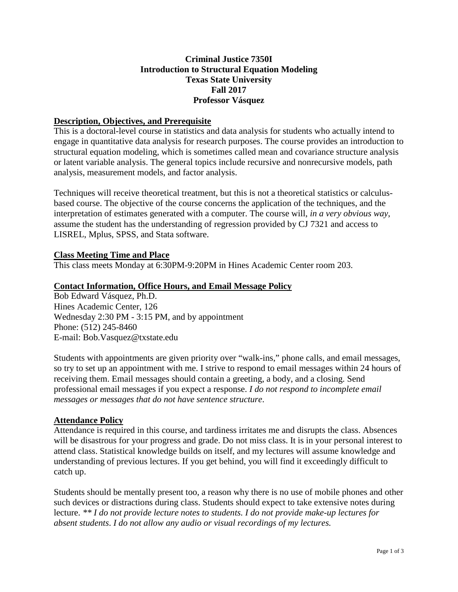# **Criminal Justice 7350I Introduction to Structural Equation Modeling Texas State University Fall 2017 Professor Vásquez**

## **Description, Objectives, and Prerequisite**

This is a doctoral-level course in statistics and data analysis for students who actually intend to engage in quantitative data analysis for research purposes. The course provides an introduction to structural equation modeling, which is sometimes called mean and covariance structure analysis or latent variable analysis. The general topics include recursive and nonrecursive models, path analysis, measurement models, and factor analysis.

Techniques will receive theoretical treatment, but this is not a theoretical statistics or calculusbased course. The objective of the course concerns the application of the techniques, and the interpretation of estimates generated with a computer. The course will, *in a very obvious way*, assume the student has the understanding of regression provided by CJ 7321 and access to LISREL, Mplus, SPSS, and Stata software.

## **Class Meeting Time and Place**

This class meets Monday at 6:30PM-9:20PM in Hines Academic Center room 203.

## **Contact Information, Office Hours, and Email Message Policy**

Bob Edward Vásquez, Ph.D. Hines Academic Center, 126 Wednesday 2:30 PM - 3:15 PM, and by appointment Phone: (512) 245-8460 E-mail: Bob.Vasquez@txstate.edu

Students with appointments are given priority over "walk-ins," phone calls, and email messages, so try to set up an appointment with me. I strive to respond to email messages within 24 hours of receiving them. Email messages should contain a greeting, a body, and a closing. Send professional email messages if you expect a response. *I do not respond to incomplete email messages or messages that do not have sentence structure*.

## **Attendance Policy**

Attendance is required in this course, and tardiness irritates me and disrupts the class. Absences will be disastrous for your progress and grade. Do not miss class. It is in your personal interest to attend class. Statistical knowledge builds on itself, and my lectures will assume knowledge and understanding of previous lectures. If you get behind, you will find it exceedingly difficult to catch up.

Students should be mentally present too, a reason why there is no use of mobile phones and other such devices or distractions during class. Students should expect to take extensive notes during lecture. *\*\* I do not provide lecture notes to students. I do not provide make-up lectures for absent students*. *I do not allow any audio or visual recordings of my lectures.*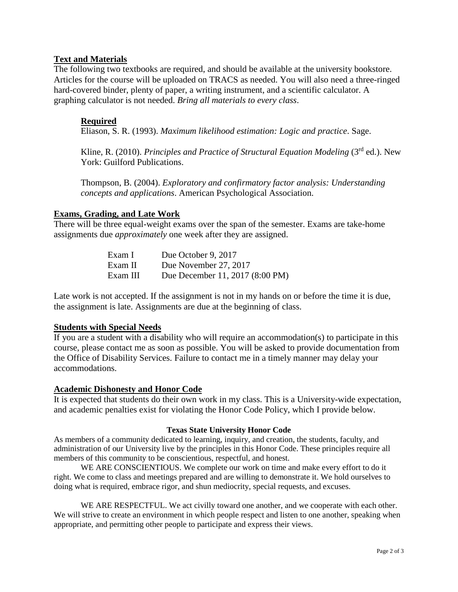# **Text and Materials**

The following two textbooks are required, and should be available at the university bookstore. Articles for the course will be uploaded on TRACS as needed. You will also need a three-ringed hard-covered binder, plenty of paper, a writing instrument, and a scientific calculator. A graphing calculator is not needed. *Bring all materials to every class*.

# **Required**

Eliason, S. R. (1993). *Maximum likelihood estimation: Logic and practice*. Sage.

Kline, R. (2010). *Principles and Practice of Structural Equation Modeling* (3rd ed.). New York: Guilford Publications.

Thompson, B. (2004). *Exploratory and confirmatory factor analysis: Understanding concepts and applications*. American Psychological Association.

## **Exams, Grading, and Late Work**

There will be three equal-weight exams over the span of the semester. Exams are take-home assignments due *approximately* one week after they are assigned.

| Exam I   | Due October 9, 2017             |
|----------|---------------------------------|
| Exam II  | Due November 27, 2017           |
| Exam III | Due December 11, 2017 (8:00 PM) |

Late work is not accepted. If the assignment is not in my hands on or before the time it is due, the assignment is late. Assignments are due at the beginning of class.

## **Students with Special Needs**

If you are a student with a disability who will require an accommodation(s) to participate in this course, please contact me as soon as possible. You will be asked to provide documentation from the Office of Disability Services. Failure to contact me in a timely manner may delay your accommodations.

#### **Academic Dishonesty and Honor Code**

It is expected that students do their own work in my class. This is a University-wide expectation, and academic penalties exist for violating the Honor Code Policy, which I provide below.

#### **Texas State University Honor Code**

As members of a community dedicated to learning, inquiry, and creation, the students, faculty, and administration of our University live by the principles in this Honor Code. These principles require all members of this community to be conscientious, respectful, and honest.

WE ARE CONSCIENTIOUS. We complete our work on time and make every effort to do it right. We come to class and meetings prepared and are willing to demonstrate it. We hold ourselves to doing what is required, embrace rigor, and shun mediocrity, special requests, and excuses.

WE ARE RESPECTFUL. We act civilly toward one another, and we cooperate with each other. We will strive to create an environment in which people respect and listen to one another, speaking when appropriate, and permitting other people to participate and express their views.